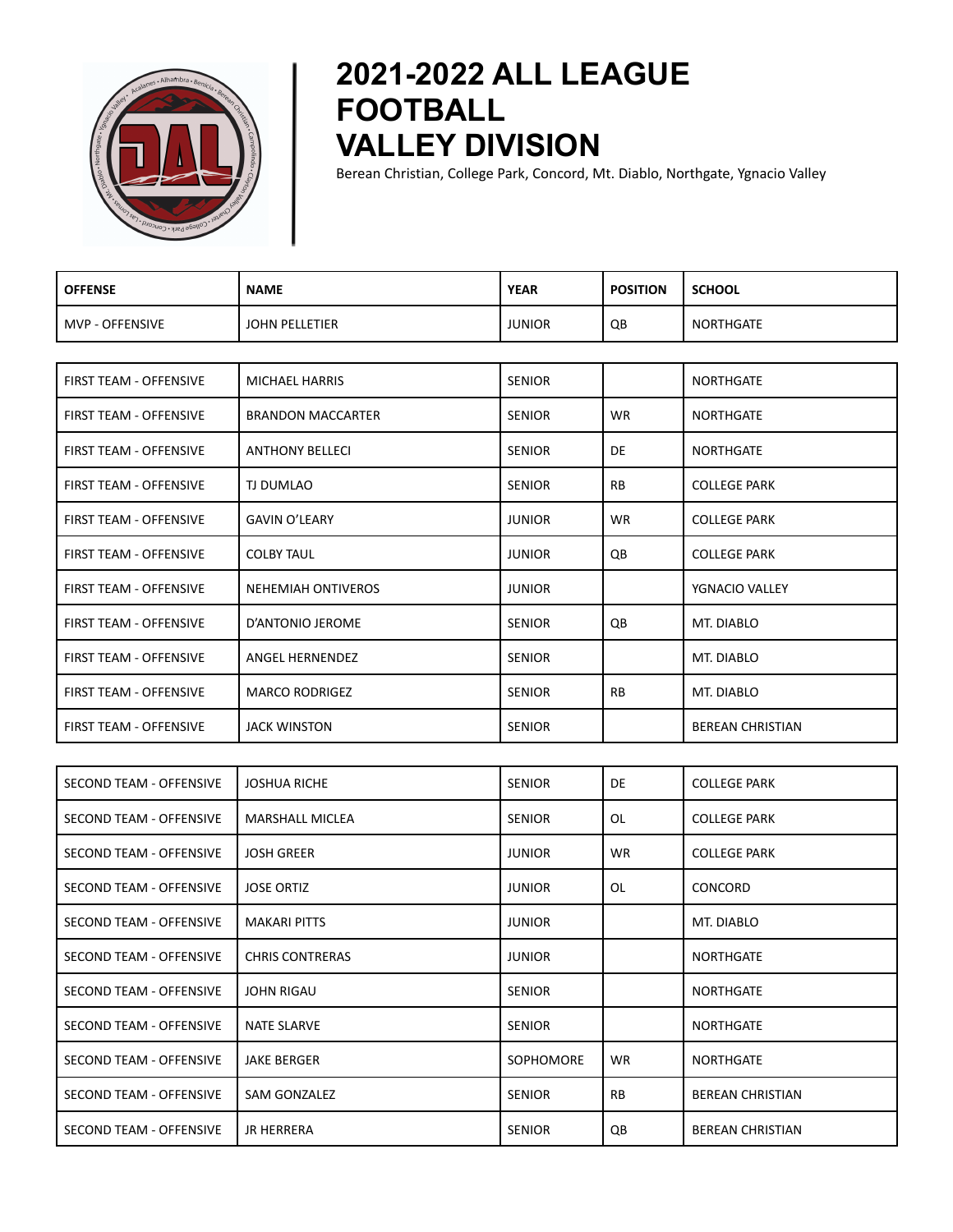

## **2021-2022 ALL LEAGUE FOOTBALL VALLEY DIVISION**

Berean Christian, College Park, Concord, Mt. Diablo, Northgate, Ygnacio Valley

| <b>OFFENSE</b>    | <b>NAME</b>    | <b>YEAR</b>   | <b>POSITION</b> | <b>SCHOOL</b> |
|-------------------|----------------|---------------|-----------------|---------------|
| l MVP - OFFENSIVE | JOHN PELLETIER | <b>JUNIOR</b> | QB              | NORTHGATE     |

| <b>FIRST TEAM - OFFENSIVE</b> | <b>MICHAEL HARRIS</b>     | <b>SENIOR</b> |           | <b>NORTHGATE</b>        |
|-------------------------------|---------------------------|---------------|-----------|-------------------------|
| <b>FIRST TEAM - OFFENSIVE</b> | <b>BRANDON MACCARTER</b>  | <b>SENIOR</b> | <b>WR</b> | <b>NORTHGATE</b>        |
| <b>FIRST TEAM - OFFENSIVE</b> | <b>ANTHONY BELLECI</b>    | <b>SENIOR</b> | DE        | <b>NORTHGATE</b>        |
| <b>FIRST TEAM - OFFENSIVE</b> | TJ DUMLAO                 | <b>SENIOR</b> | <b>RB</b> | <b>COLLEGE PARK</b>     |
| <b>FIRST TEAM - OFFENSIVE</b> | <b>GAVIN O'LEARY</b>      | <b>JUNIOR</b> | <b>WR</b> | <b>COLLEGE PARK</b>     |
| <b>FIRST TEAM - OFFENSIVE</b> | <b>COLBY TAUL</b>         | <b>JUNIOR</b> | QB        | <b>COLLEGE PARK</b>     |
| <b>FIRST TEAM - OFFENSIVE</b> | <b>NEHEMIAH ONTIVEROS</b> | <b>JUNIOR</b> |           | YGNACIO VALLEY          |
| <b>FIRST TEAM - OFFENSIVE</b> | D'ANTONIO JEROME          | <b>SENIOR</b> | QB        | MT. DIABLO              |
| <b>FIRST TEAM - OFFENSIVE</b> | ANGEL HERNENDEZ           | <b>SENIOR</b> |           | MT. DIABLO              |
| <b>FIRST TEAM - OFFENSIVE</b> | <b>MARCO RODRIGEZ</b>     | <b>SENIOR</b> | <b>RB</b> | MT. DIABLO              |
| <b>FIRST TEAM - OFFENSIVE</b> | <b>JACK WINSTON</b>       | <b>SENIOR</b> |           | <b>BEREAN CHRISTIAN</b> |

| SECOND TEAM - OFFENSIVE        | <b>JOSHUA RICHE</b>    | <b>SENIOR</b>    | DE        | <b>COLLEGE PARK</b>     |
|--------------------------------|------------------------|------------------|-----------|-------------------------|
| SECOND TEAM - OFFENSIVE        | <b>MARSHALL MICLEA</b> | <b>SENIOR</b>    | OL        | <b>COLLEGE PARK</b>     |
| SECOND TEAM - OFFENSIVE        | <b>JOSH GREER</b>      | <b>JUNIOR</b>    | <b>WR</b> | <b>COLLEGE PARK</b>     |
| SECOND TEAM - OFFENSIVE        | <b>JOSE ORTIZ</b>      | <b>JUNIOR</b>    | OL        | <b>CONCORD</b>          |
| <b>SECOND TEAM - OFFENSIVE</b> | <b>MAKARI PITTS</b>    | <b>JUNIOR</b>    |           | MT. DIABLO              |
| SECOND TEAM - OFFENSIVE        | <b>CHRIS CONTRERAS</b> | <b>JUNIOR</b>    |           | <b>NORTHGATE</b>        |
| SECOND TEAM - OFFENSIVE        | <b>JOHN RIGAU</b>      | <b>SENIOR</b>    |           | <b>NORTHGATE</b>        |
| SECOND TEAM - OFFENSIVE        | <b>NATE SLARVE</b>     | <b>SENIOR</b>    |           | <b>NORTHGATE</b>        |
| SECOND TEAM - OFFENSIVE        | <b>JAKE BERGER</b>     | <b>SOPHOMORE</b> | <b>WR</b> | <b>NORTHGATE</b>        |
| SECOND TEAM - OFFENSIVE        | SAM GONZALEZ           | <b>SENIOR</b>    | <b>RB</b> | <b>BEREAN CHRISTIAN</b> |
| SECOND TEAM - OFFENSIVE        | <b>JR HERRERA</b>      | <b>SENIOR</b>    | QB        | <b>BEREAN CHRISTIAN</b> |